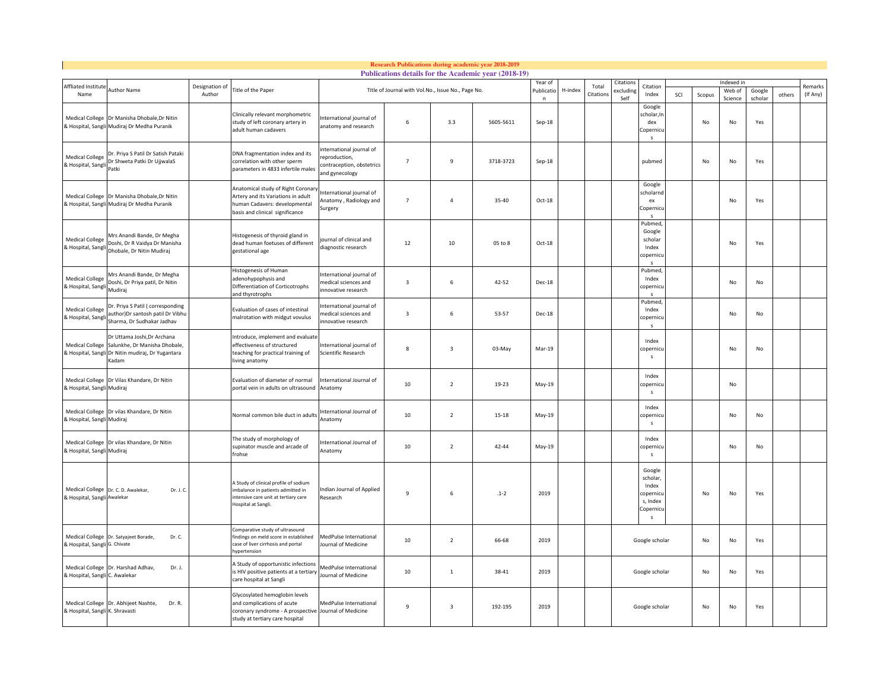|                                                       |                                                                                                        |                |                                                                                                                                             |                                                                                        |                         |                         | <b>Research Publications during academic year 2018-2019</b><br>Publications details for the Academic year (2018-19) |                             |         |           |                      |                                                                        |     |                     |                      |                |        |          |
|-------------------------------------------------------|--------------------------------------------------------------------------------------------------------|----------------|---------------------------------------------------------------------------------------------------------------------------------------------|----------------------------------------------------------------------------------------|-------------------------|-------------------------|---------------------------------------------------------------------------------------------------------------------|-----------------------------|---------|-----------|----------------------|------------------------------------------------------------------------|-----|---------------------|----------------------|----------------|--------|----------|
| Affliated Institute                                   | Author Name                                                                                            | Designation of | Title of the Paper                                                                                                                          | Title of Journal with Vol.No., Issue No., Page No.                                     |                         |                         |                                                                                                                     |                             | H-index | Total     | Citation<br>xcluding | Citation                                                               |     |                     | Indexed in<br>Web of | Google         |        | Remarks  |
| Name<br><b>Medical College</b>                        | Dr Manisha Dhobale, Dr Nitin<br>& Hospital, Sangli Mudiraj Dr Medha Puranik                            | Author         | Clinically relevant morphometric<br>study of left coronary artery in<br>adult human cadavers                                                | nternational journal of<br>anatomy and research                                        | 6                       | 3.3                     | 5605-5611                                                                                                           | Publicatio<br>n<br>$Sep-18$ |         | Citation: | Self                 | Index<br>Google<br>scholar, Ir<br>dex<br>Copernicu<br>$\epsilon$       | SCI | Scopus<br><b>No</b> | Science<br>No        | scholar<br>Yes | others | (If Any) |
| <b>Medical College</b><br>& Hospital, Sangli          | Dr. Priya S Patil Dr Satish Pataki<br>Dr Shweta Patki Dr UjjwalaS<br>Patki                             |                | DNA fragmentation index and its<br>correlation with other sperm<br>parameters in 4833 infertile males                                       | nternational journal of<br>eproduction,<br>contraception, obstetrics<br>and gynecology | $\overline{7}$          | 9                       | 3718-3723                                                                                                           | $Sep-18$                    |         |           |                      | pubmed                                                                 |     | No                  | No                   | Yes            |        |          |
| <b>Medical College</b>                                | Dr Manisha Dhobale, Dr Nitin<br>& Hospital, Sangli Mudiraj Dr Medha Puranik                            |                | Anatomical study of Right Coronar<br>Artery and its Variations in adult<br>human Cadavers: developmental<br>basis and clinical significance | nternational journal of<br>natomy, Radiology and<br>urgery                             | $\overline{7}$          | $\overline{4}$          | 35-40                                                                                                               | Oct-18                      |         |           |                      | Google<br>scholarnd<br>ex<br>Copernicu                                 |     |                     | No                   | Yes            |        |          |
| <b>Medical College</b><br>& Hospital, Sangl           | Mrs Anandi Bande, Dr Megha<br>Doshi, Dr R Vaidya Dr Manisha<br>Dhobale, Dr Nitin Mudiraj               |                | Histogenesis of thyroid gland in<br>dead human foetuses of different<br>gestational age                                                     | burnal of clinical and<br>liagnostic research                                          | 12                      | 10                      | 05 to 8                                                                                                             | Oct-18                      |         |           |                      | Pubmed<br>Google<br>scholar<br>Index<br>copernicu<br>$\epsilon$        |     |                     | No                   | Yes            |        |          |
| <b>Medical College</b><br>& Hospital, Sangli          | Mrs Anandi Bande, Dr Megha<br>Doshi, Dr Priya patil, Dr Nitin<br>Mudiraj                               |                | Histogenesis of Human<br>adenohypophysis and<br>Differentiation of Corticotrophs<br>and thyrotrophs                                         | nternational journal of<br>nedical sciences and<br>nnovative research                  | $\overline{\mathbf{3}}$ | 6                       | 42-52                                                                                                               | Dec-18                      |         |           |                      | Pubmed<br>Index<br>copernicu<br>s                                      |     |                     | No                   | No             |        |          |
| <b>Medical College</b><br>& Hospital, Sangl           | Dr. Priya S Patil (corresponding<br>author)Dr santosh patil Dr Vibhu<br>Sharma, Dr Sudhakar Jadhav     |                | Evaluation of cases of intestinal<br>malrotation with midgut vovulus                                                                        | nternational journal of<br>nedical sciences and<br>novative research                   | $\overline{\mathbf{3}}$ | 6                       | 53-57                                                                                                               | Dec-18                      |         |           |                      | Pubmed<br>Index<br>copernicu<br>$\mathsf{s}$                           |     |                     | No                   | No             |        |          |
| <b>Medical College</b><br>& Hospital, Sangli          | Dr Uttama Joshi, Dr Archana<br>Salunkhe, Dr Manisha Dhobale,<br>Dr Nitin mudiraj, Dr Yugantara<br>adam |                | Introduce, implement and evaluat<br>effectiveness of structured<br>teaching for practical training of<br>living anatomy                     | International journal of<br>Scientific Research                                        | 8                       | $\overline{3}$          | 03-May                                                                                                              | Mar-19                      |         |           |                      | Index<br>opernicu<br>s                                                 |     |                     | No                   | No             |        |          |
| <b>Medical College</b><br>& Hospital, Sangli Mudiraj  | Dr Vilas Khandare, Dr Nitin                                                                            |                | Evaluation of diameter of normal<br>portal vein in adults on ultrasound                                                                     | nternational Journal of<br>Anatomy                                                     | $10\,$                  | $\overline{2}$          | 19-23                                                                                                               | May-19                      |         |           |                      | Index<br>copernicu<br>s                                                |     |                     | No                   |                |        |          |
| & Hospital, Sangli Mudiraj                            | Medical College Dr vilas Khandare, Dr Nitin                                                            |                | Normal common bile duct in adults                                                                                                           | International Journal of<br>Anatomy                                                    | 10                      | $\overline{2}$          | 15-18                                                                                                               | May-19                      |         |           |                      | Index<br>copernicu<br>$\mathsf S$                                      |     |                     | No                   | No             |        |          |
| & Hospital, Sangli Mudiraj                            | Medical College Dr vilas Khandare, Dr Nitin                                                            |                | The study of morphology of<br>supinator muscle and arcade of<br>frohse                                                                      | International Journal of<br>Anatomy                                                    | 10                      | $\overline{2}$          | 42-44                                                                                                               | May-19                      |         |           |                      | Index<br>copernicu<br>$\mathsf S$                                      |     |                     | No                   | $\mathsf{No}$  |        |          |
| <b>Medical College</b><br>& Hospital, Sangli Awalekar | Dr. C. D. Awalekar,<br>Dr. J. C                                                                        |                | A Study of clinical profile of sodium<br>imbalance in patients admitted in<br>intensive care unit at tertiary care<br>Hospital at Sangli.   | Indian Journal of Applied<br>Research                                                  | 9                       | 6                       | $.1 - 2$                                                                                                            | 2019                        |         |           |                      | Google<br>scholar,<br>Index<br>copernicu<br>s, Index<br>Copernicu<br>s |     | No                  | No                   | Yes            |        |          |
| & Hospital, Sangli G. Chivate                         | Medical College Dr. Satyajeet Borade,<br>Dr.C.                                                         |                | Comparative study of ultrasound<br>findings on meld score in established<br>case of liver cirrhosis and portal<br>hypertension              | MedPulse International<br>Journal of Medicine                                          | 10                      | $\overline{2}$          | 66-68                                                                                                               | 2019                        |         |           |                      | Google scholar                                                         |     | No                  | No                   | Yes            |        |          |
| & Hospital, Sangli C. Awalekar                        | Medical College Dr. Harshad Adhav,<br>Dr. J.                                                           |                | A Study of opportunistic infections<br>is HIV positive patients at a tertiary<br>care hospital at Sangli                                    | MedPulse International<br>Journal of Medicine                                          | 10                      | $\mathbf{1}$            | 38-41                                                                                                               | 2019                        |         |           |                      | Google scholar                                                         |     | No                  | No                   | Yes            |        |          |
| & Hospital, Sangli K. Shravasti                       | Medical College Dr. Abhijeet Nashte,<br>Dr. R.                                                         |                | Glycosylated hemoglobin levels<br>and complications of acute<br>coronary syndrome - A prospective<br>study at tertiary care hospital        | MedPulse International<br>Journal of Medicine                                          | 9                       | $\overline{\mathbf{3}}$ | 192-195                                                                                                             | 2019                        |         |           |                      | Google scholar                                                         |     | No                  | No                   | Yes            |        |          |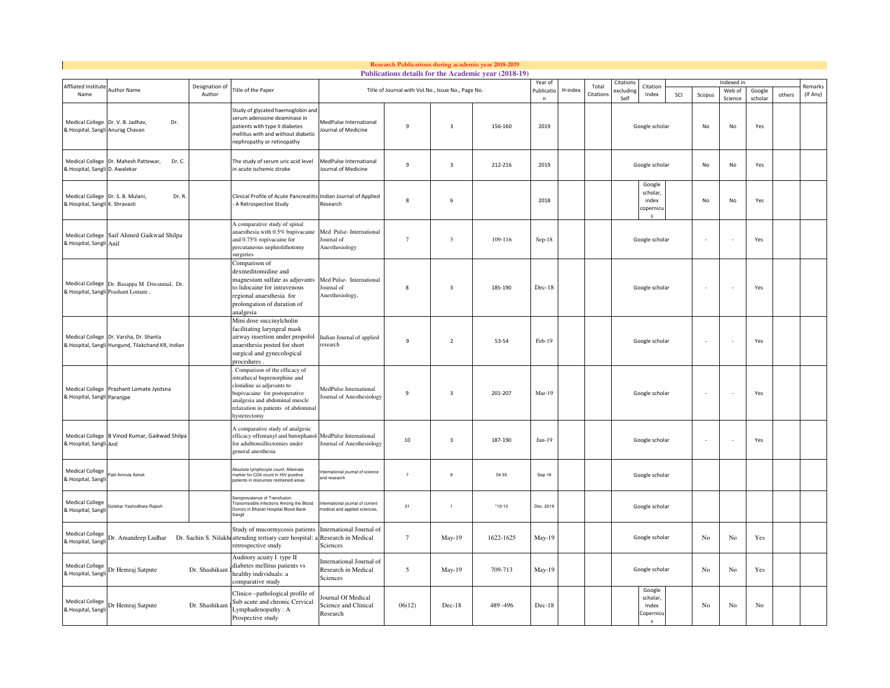|                                                    |                                                                                    |                |                                                                                                                                                                                                                       |                                                                |                                                    |                         | Research Publications during academic year 2018-2019<br>Publications details for the Academic year (2018-19) |                      |          |           |                |                                          |        |        |           |         |        |          |
|----------------------------------------------------|------------------------------------------------------------------------------------|----------------|-----------------------------------------------------------------------------------------------------------------------------------------------------------------------------------------------------------------------|----------------------------------------------------------------|----------------------------------------------------|-------------------------|--------------------------------------------------------------------------------------------------------------|----------------------|----------|-----------|----------------|------------------------------------------|--------|--------|-----------|---------|--------|----------|
| Affliated Institute                                | Author Name                                                                        | Designation of | Title of the Paper                                                                                                                                                                                                    |                                                                | Year of<br>Publicatio                              | H-index                 | Total                                                                                                        | Citation<br>xcluding | Citation |           |                | Indexed in<br>Web of                     | Google |        | Remarks   |         |        |          |
| Name                                               |                                                                                    | Author         |                                                                                                                                                                                                                       |                                                                | Title of Journal with Vol.No., Issue No., Page No. |                         |                                                                                                              | n                    |          | Citation: | Self           | Index                                    | SCI    | Scopus | Science   | scholar | others | (If Any) |
| & Hospital, Sangli Anurag Chavan                   | Medical College Dr. V. B. Jadhav,<br>Dr.                                           |                | Study of glycated haemoglobin and<br>serum adenosine deaminase in<br>patients with type II diabetes<br>mellitus with and without diabetic<br>nephropathy or retinopathy                                               | MedPulse International<br>Journal of Medicine                  | $\mathbf{q}$                                       | $\overline{\mathbf{3}}$ | 156-160                                                                                                      | 2019                 |          |           | Google scholar |                                          |        | No     | <b>No</b> | Yes     |        |          |
| & Hospital, Sangli D. Awalekar                     | Medical College Dr. Mahesh Pattewar,<br>Dr. C.                                     |                | The study of serum uric acid level<br>in acute ischemic stroke                                                                                                                                                        | MedPulse International<br>Journal of Medicine                  | $\mathbf{q}$                                       | $\overline{\mathbf{3}}$ | 212-216                                                                                                      | 2019                 |          |           |                | Google scholar                           |        | No     | No        | Yes     |        |          |
| Medical College<br>& Hospital, Sangli K. Shravasti | Dr. S. B. Mulani,<br>Dr. R.                                                        |                | Clinical Profile of Acute Pancreatitis Indian Journal of Applied<br>A Retrospective Study                                                                                                                             | Research                                                       | 8                                                  | 6                       |                                                                                                              | 2018                 |          |           |                | Google<br>scholar,<br>index<br>copernicu |        | No     | No        | Yes     |        |          |
| <b>Medical College</b><br>& Hospital, Sangli Anil  | Saif Ahmed Gaikwad Shilpa                                                          |                | A comparative study of spinal<br>anaesthesia with 0.5% bupivacaine<br>and 0.75% ropivacaine for<br>percutaneous nephrolithotomy<br>surgeries                                                                          | Med Pulse-International<br>Journal of<br>Anesthesiology        | $\overline{7}$                                     | $\overline{\mathbf{3}}$ | 109-116                                                                                                      | Sep-18               |          |           | Google scholar |                                          |        |        |           | Yes     |        |          |
|                                                    | Medical College Dr. Basappa M Diwanmal, Dr.<br>& Hospital, Sangli Prashant Lomate, |                | Comparison of<br>dexmeditomidine and<br>magnesium sulfate as adjuvants<br>to lidocaine for intravenous<br>regional anaesthesia for<br>prolongation of duration of<br>analgesia                                        | Med Pulse- International<br>Journal of<br>Anesthesiology,      | 8                                                  | $\overline{\mathbf{3}}$ | 185-190                                                                                                      | Dec-18               |          |           |                | Google scholar                           |        | ÷.     |           | Yes     |        |          |
| Medical College                                    | Dr. Varsha, Dr. Shanta<br>& Hospital, Sangli Hungund, Tilakchand KR, Indian        |                | Mini dose succinylcholin<br>facilitating laryngeal mask<br>airway insertion under propofol<br>anaesthesia posted for short<br>surgical and gynecological<br>procedures.                                               | Indian Journal of applied<br>esearch                           | $\mathbf{q}$                                       | $\overline{2}$          | 53-54                                                                                                        | Feb-19               |          |           | Google scholar |                                          |        | $\sim$ |           | Yes     |        |          |
| & Hospital, Sangli Paranjpe                        | Medical College Prashant Lomate Jyotsna                                            |                | Comparison of the efficacy of<br>intrathecal buprenorphine and<br>clonidine as adjuvants to<br>bupivacaine for postoperative<br>analgesia and abdominal muscle<br>relaxation in patients of abdominal<br>hysterectomy | MedPulse International<br>ournal of Anesthesiology             | $\mathbf{q}$                                       | $\overline{\mathbf{3}}$ | 201-207                                                                                                      | Mar-19               |          |           | Google scholar |                                          | ÷      |        | Yes       |         |        |          |
| <b>Medical College</b><br>& Hospital, Sangli Anil  | B Vinod Kumar, Gaikwad Shilpa                                                      |                | A comparative study of analgesic<br>efficacy offentanyl and butorphano<br>for adulttonsillectomies under<br>general anesthesia                                                                                        | MedPulse International<br>Journal of Anesthesiology            | $10\,$                                             | $\overline{\mathbf{3}}$ | 187-190                                                                                                      | $Jun-19$             |          |           |                | Google scholar                           |        | ×,     |           | Yes     |        |          |
| <b>Medical College</b><br>& Hospital, Sangli       | atil Amruta Ashok                                                                  |                | Absolute lymphocyte count: Alternate<br>marker for CD4 count in HIV positive<br>patients in resources restrained areas                                                                                                | ternational journal of science<br>nd research                  | $\overline{7}$                                     | 9                       | 54-55                                                                                                        | Sep-18               |          |           |                | Google scholar                           |        |        |           |         |        |          |
| <b>Medical College</b><br>& Hospital, Sangli       | tekar Yashodhara Rajesh                                                            |                | Seroprevalence of Transfusion<br>Transmissible infections Among the Blood<br>Donors in Bharati Hospital Blood Bank<br>Sangli                                                                                          | ternational journal of current<br>edical and applied sciences. | 21                                                 | $\mathbf{1}$            | $*10-13$                                                                                                     | Dec. 2018            |          |           | Google scholar |                                          |        |        |           |         |        |          |
| <b>Medical College</b><br>& Hospital, Sangl        | Or. Amandeep Ludhar  Dr. Sachin S. Nilakl                                          |                | Study of mucormycosis patients<br>attending tertiary care hospital:<br>retrospective study                                                                                                                            | International Journal of<br>Research in Medical<br>Sciences    | $7\phantom{.0}$                                    | May-19                  | 1622-1625                                                                                                    | $May-19$             |          |           |                | Google scholar                           |        | No     | No        | Yes     |        |          |
| <b>Medical College</b><br>& Hospital, Sangl        | Dr Hemraj Satpute                                                                  | Dr. Shashikant | Auditory acuity I type II<br>diabetes mellitus patients vs<br>healthy individuals: a<br>comparative study                                                                                                             | International Journal of<br>Research in Medical<br>Sciences    | 5                                                  | May-19                  | 709-713                                                                                                      | May-19               |          |           | Google scholar |                                          | No     | No     | Yes       |         |        |          |
| <b>Medical College</b><br>& Hospital, Sangl        | Dr Hemraj Satpute                                                                  | Dr. Shashikant | Clinico-pathological profile of<br>Sub acute and chronic Cervical<br>Lymphadenopathy: A<br>Prospective study                                                                                                          | ournal Of Medical<br>Science and Clinical<br>Research          | 06(12)                                             | $Dec-18$                | 489-496                                                                                                      | $Dec-18$             |          |           |                | Google<br>scholar,<br>Index<br>Copernicu |        | No     | No        | No      |        |          |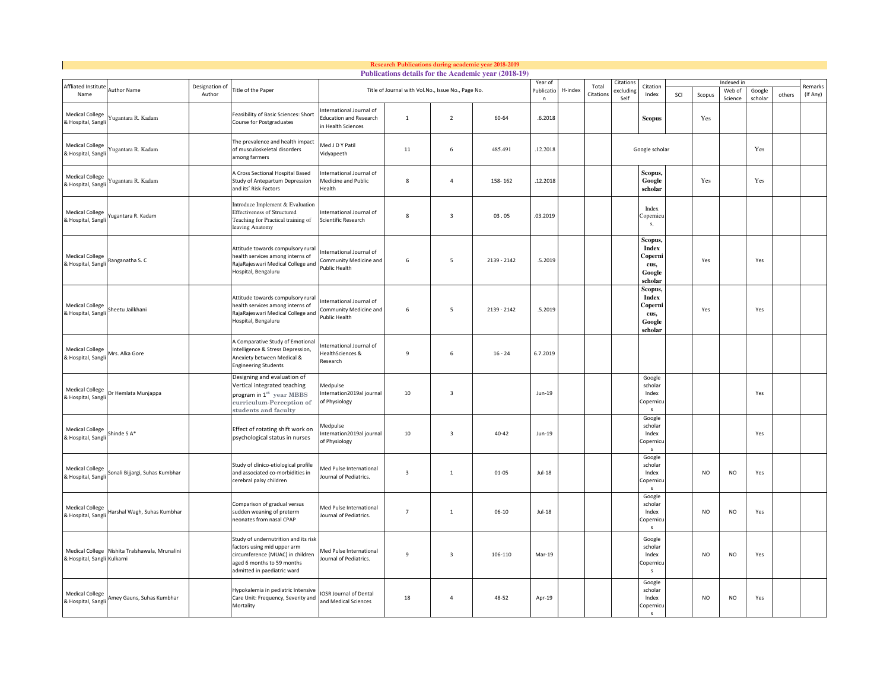|                                              |                                                |                |                                                                                                                                                                      |                                                                                |                                                                       |                          | <b>Research Publications during academic year 2018-2019</b><br>Publications details for the Academic year (2018-19) |          |          |           |                  |                                                                 |            |           |                   |                   |        |          |
|----------------------------------------------|------------------------------------------------|----------------|----------------------------------------------------------------------------------------------------------------------------------------------------------------------|--------------------------------------------------------------------------------|-----------------------------------------------------------------------|--------------------------|---------------------------------------------------------------------------------------------------------------------|----------|----------|-----------|------------------|-----------------------------------------------------------------|------------|-----------|-------------------|-------------------|--------|----------|
| Affliated Institute                          |                                                | Designation of |                                                                                                                                                                      |                                                                                |                                                                       | Year of                  |                                                                                                                     | Total    | Citation | Citation  |                  |                                                                 | Indexed in |           |                   | Remarks           |        |          |
| Name                                         | Author Name                                    | Author         | Title of the Paper                                                                                                                                                   |                                                                                | Publicatio<br>Title of Journal with Vol.No., Issue No., Page No.<br>n |                          |                                                                                                                     |          | H-index  | Citation: | xcluding<br>Self | Index                                                           | SCI        | Scopus    | Web of<br>Science | Google<br>scholar | others | (If Any) |
| <b>Medical College</b><br>& Hospital, Sangl  | Yugantara R. Kadam                             |                | Feasibility of Basic Sciences: Short<br>Course for Postgraduates                                                                                                     | nternational Journal of<br><b>Education and Research</b><br>in Health Sciences | $\mathbf{1}$                                                          | $\overline{2}$           | 60-64                                                                                                               | .6.2018  |          |           |                  | Scopus                                                          |            | Yes       |                   |                   |        |          |
| <b>Medical College</b><br>& Hospital, Sangl  | Yugantara R. Kadam                             |                | The prevalence and health impact<br>of musculoskeletal disorders<br>among farmers                                                                                    | Med J D Y Patil<br><b>Vidyapeeth</b>                                           | 11                                                                    | 6                        | 485.491                                                                                                             | 12.2018  |          |           |                  | Google scholar                                                  |            |           |                   | Yes               |        |          |
| <b>Medical College</b><br>& Hospital, Sangl  | Yugantara R. Kadam                             |                | A Cross Sectional Hospital Based<br>Study of Antepartum Depression<br>and its' Risk Factors                                                                          | nternational Journal of<br>Medicine and Public<br>lealth                       | 8                                                                     | $\overline{a}$           | 158-162                                                                                                             | 12.2018  |          |           |                  | Scopus,<br>Google<br>scholar                                    |            | Yes       |                   | Yes               |        |          |
| <b>Medical College</b><br>& Hospital, Sangl  | ugantara R. Kadam                              |                | Introduce Implement & Evaluation<br><b>Effectiveness of Structured</b><br>Teaching for Practical training of<br>leaving Anatomy                                      | nternational Journal of<br>Scientific Research                                 | $\mathbf{8}$                                                          | $\overline{\mathbf{3}}$  | 03.05                                                                                                               | .03.2019 |          |           |                  | Index<br>Copernicu<br>s,                                        |            |           |                   |                   |        |          |
| <b>Medical College</b><br>& Hospital, Sangl  | Ranganatha S. C                                |                | Attitude towards compulsory rural<br>health services among interns of<br>RajaRajeswari Medical College and<br>Hospital, Bengaluru                                    | nternational Journal of<br>Community Medicine and<br>Public Health             | 6                                                                     | 5                        | 2139 - 2142                                                                                                         | .5.2019  |          |           |                  | Scopus.<br><b>Index</b><br>Coperni<br>cus,<br>Google<br>scholar |            | Yes       |                   | Yes               |        |          |
| <b>Medical College</b><br>& Hospital, Sangli | Sheetu Jailkhani                               |                | Attitude towards compulsory rural<br>health services among interns of<br>RajaRajeswari Medical College and<br>Hospital, Bengaluru                                    | ternational Journal of<br><b>Community Medicine and</b><br>ublic Health        | 6                                                                     | $\overline{\phantom{a}}$ | 2139 - 2142                                                                                                         | .5.2019  |          |           |                  | Scopus,<br><b>Index</b><br>Coperni<br>cus,<br>Google<br>scholar |            | Yes       |                   | Yes               |        |          |
| <b>Medical College</b><br>& Hospital, Sangl  | Mrs. Alka Gore                                 |                | A Comparative Study of Emotional<br>Intelligence & Stress Depression,<br>Anexiety between Medical &<br><b>Engineering Students</b>                                   | nternational Journal of<br>lealthSciences &<br><b>Research</b>                 | 9                                                                     | 6                        | $16 - 24$                                                                                                           | 6.7.2019 |          |           |                  |                                                                 |            |           |                   |                   |        |          |
| <b>Medical College</b><br>& Hospital, Sangli | Dr Hemlata Munjappa                            |                | Designing and evaluation of<br>Vertical integrated teaching<br>program in $1^{st}$ year MBBS<br>eurriculum-Perception of<br>students and faculty                     | Medpulse<br>nternation2019al journal<br>of Physiology                          | 10                                                                    | $\overline{\mathbf{3}}$  |                                                                                                                     | Jun-19   |          |           |                  | Google<br>scholar<br>Index<br>Copernic<br>$\mathsf{s}$          |            |           |                   | Yes               |        |          |
| <b>Medical College</b><br>& Hospital, Sangli | Shinde SA*                                     |                | Effect of rotating shift work on<br>psychological status in nurses                                                                                                   | <i><b>Aedpulse</b></i><br>nternation2019al journal<br>of Physiology            | 10                                                                    | $\overline{\mathbf{3}}$  | 40-42                                                                                                               | Jun-19   |          |           |                  | Google<br>scholar<br>Index<br>Copernicu<br>$\mathbf{s}$         |            |           |                   | Yes               |        |          |
| <b>Medical College</b><br>& Hospital, Sangl  | Sonali Bijjargi, Suhas Kumbhar                 |                | Study of clinico-etiological profile<br>and associated co-morbidities in<br>cerebral palsy children                                                                  | Med Pulse International<br>ournal of Pediatrics.                               | $\overline{\mathbf{3}}$                                               | $\mathbf{1}$             | $01 - 05$                                                                                                           | $Jul-18$ |          |           |                  | Google<br>scholar<br>Index<br>Copernic<br>s                     |            | <b>NO</b> | <b>NO</b>         | Yes               |        |          |
| <b>Medical College</b><br>& Hospital, Sangl  | Harshal Wagh, Suhas Kumbhar                    |                | Comparison of gradual versus<br>sudden weaning of preterm<br>neonates from nasal CPAP                                                                                | Med Pulse International<br>Journal of Pediatrics.                              | $\overline{7}$                                                        | $\mathbf 1$              | $06 - 10$                                                                                                           | $Jul-18$ |          |           |                  | Google<br>scholar<br>Index<br>Copernicu<br>$\sim$               |            | NO        | <b>NO</b>         | Yes               |        |          |
| & Hospital, Sangli Kulkarni                  | Medical College Nishita Tralshawala, Mrunalini |                | Study of undernutrition and its risk<br>factors using mid upper arm<br>circumference (MUAC) in children<br>aged 6 months to 59 months<br>admitted in paediatric ward | Med Pulse International<br>lournal of Pediatrics.                              | $\mathbf{q}$                                                          | $\overline{\mathbf{3}}$  | 106-110                                                                                                             | Mar-19   |          |           |                  | Google<br>scholar<br>Index<br>Copernicu<br>s                    |            | <b>NO</b> | N <sub>O</sub>    | Yes               |        |          |
| <b>Medical College</b><br>& Hospital, Sangli | Amey Gauns, Suhas Kumbhar                      |                | Hypokalemia in pediatric Intensive<br>Care Unit: Frequency, Severity and<br>Mortality                                                                                | OSR Journal of Dental<br>and Medical Sciences                                  | 18                                                                    | $\overline{4}$           | 48-52                                                                                                               | Apr-19   |          |           |                  | Google<br>scholar<br>Index<br>Copernicu<br>$\mathbf{S}$         |            | <b>NO</b> | <b>NO</b>         | Yes               |        |          |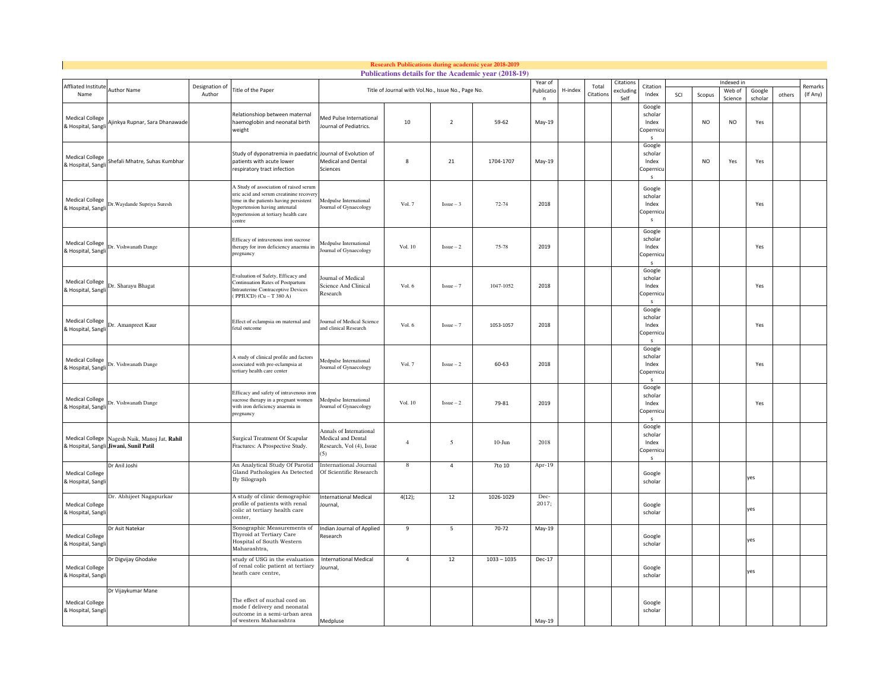|                                              |                                                                                         |                          |                                                                                                                                                                                                                |                                                                           |                                                    |                | Research Publications during academic year 2018-2019<br>Publications details for the Academic year (2018-19) |                 |           |                    |                   |                                                         |            |                |                   |                   |        |                     |
|----------------------------------------------|-----------------------------------------------------------------------------------------|--------------------------|----------------------------------------------------------------------------------------------------------------------------------------------------------------------------------------------------------------|---------------------------------------------------------------------------|----------------------------------------------------|----------------|--------------------------------------------------------------------------------------------------------------|-----------------|-----------|--------------------|-------------------|---------------------------------------------------------|------------|----------------|-------------------|-------------------|--------|---------------------|
|                                              |                                                                                         |                          |                                                                                                                                                                                                                |                                                                           |                                                    | Year of        |                                                                                                              |                 | Citation: |                    |                   |                                                         | Indexed in |                |                   |                   |        |                     |
| Affliated Institut<br>Name                   | <b>Author Name</b>                                                                      | Designation of<br>Author | Title of the Paper                                                                                                                                                                                             |                                                                           | Title of Journal with Vol.No., Issue No., Page No. |                |                                                                                                              | Publicatio<br>n | H-index   | Total<br>Citations | excluding<br>Self | Citation<br>Index                                       | SCI        | Scopus         | Web of<br>Science | Google<br>scholar | others | Remarks<br>(If Any) |
| <b>Medical College</b><br>& Hospital, Sangli | Ajinkya Rupnar, Sara Dhanawade                                                          |                          | Relationshiop between maternal<br>haemoglobin and neonatal birth<br>weight                                                                                                                                     | Med Pulse International<br>Iournal of Pediatrics.                         | 10                                                 | $\overline{2}$ | 59-62                                                                                                        | May-19          |           |                    |                   | Google<br>scholar<br>Index<br>Copernic<br>$\epsilon$    |            | <b>NO</b>      | <b>NO</b>         | Yes               |        |                     |
| <b>Medical College</b><br>& Hospital, Sangl  | Shefali Mhatre, Suhas Kumbhar                                                           |                          | Study of dyponatremia in paedatric Journal of Evolution of<br>patients with acute lower<br>respiratory tract infection                                                                                         | Medical and Dental<br>Sciences                                            | 8                                                  | 21             | 1704-1707                                                                                                    | May-19          |           |                    |                   | Google<br>scholar<br>Index<br>Copernic                  |            | N <sub>O</sub> | Yes               | Yes               |        |                     |
| <b>Medical College</b><br>& Hospital, Sangl  | Dr. Waydande Supriya Suresh                                                             |                          | A Study of association of raised serum<br>uric acid and serum creatinine recovery<br>time in the patients having persistent<br>hypertension having antenatal<br>hypertension at tertiary health care<br>centre | Medpulse International<br>ournal of Gynaecology                           | Vol. 7                                             | $Issue-3$      | 72-74                                                                                                        | 2018            |           |                    |                   | Google<br>scholar<br>Index<br>Copernicu<br>s            |            |                |                   | Yes               |        |                     |
| <b>Medical College</b><br>& Hospital, Sangli | Dr. Vishwanath Dange                                                                    |                          | Efficacy of intravenous iron sucrose<br>therapy for iron deficiency anaemia in<br>pregnancy                                                                                                                    | Medpulse International<br>Journal of Gynaecology                          | Vol. 10                                            | $Issue-2$      | 75-78                                                                                                        | 2019            |           |                    |                   | Google<br>scholar<br>Index<br>Copernic<br>$\mathbf{S}$  |            |                |                   | Yes               |        |                     |
| <b>Medical College</b><br>& Hospital, Sangli | Dr. Sharayu Bhagat                                                                      |                          | Evaluation of Safety, Efficacy and<br>Continuation Rates of Postpartum<br><b>Intrauterine Contraceptive Devices</b><br>(PPIUCD) (Cu - T 380 A)                                                                 | Journal of Medical<br>Science And Clinical<br>Research                    | Vol. 6                                             | $Issue-7$      | 1047-1052                                                                                                    | 2018            |           |                    |                   | Google<br>scholar<br>Index<br>Copernicu<br>$\mathbf{s}$ |            |                |                   | Yes               |        |                     |
| <b>Medical College</b><br>& Hospital, Sang   | Dr. Amanpreet Kaur                                                                      |                          | Effect of eclampsia on maternal and<br>fetal outcome                                                                                                                                                           | ournal of Medical Science<br>and clinical Research                        | Vol. 6                                             | $Issue - 7$    | 1053-1057                                                                                                    | 2018            |           |                    |                   | Google<br>scholar<br>Index<br>Copernic<br>-S            |            |                |                   | Yes               |        |                     |
| <b>Medical College</b><br>& Hospital, Sangli | Dr. Vishwanath Dange                                                                    |                          | A study of clinical profile and factors<br>associated with pre-eclampsia at<br>tertiary health care center                                                                                                     | Medpulse International<br>ournal of Gynaecology                           | Vol. 7                                             | $Issue - 2$    | 60-63                                                                                                        | 2018            |           |                    |                   | Google<br>scholar<br>Index<br>Copernic<br>s             |            |                |                   | Yes               |        |                     |
| <b>Medical College</b><br>& Hospital, Sangli | Dr. Vishwanath Dange                                                                    |                          | Efficacy and safety of intravenous iron<br>sucrose therapy in a pregnant women<br>with iron deficiency anaemia in<br>pregnancy                                                                                 | Medpulse International<br>Journal of Gynaecology                          | Vol. 10                                            | $Issue-2$      | 79-81                                                                                                        | 2019            |           |                    |                   | Google<br>scholar<br>Index<br>Copernic<br>$\mathbf{s}$  |            |                |                   | Yes               |        |                     |
|                                              | Medical College Nagesh Naik, Manoj Jat, Rahil<br>& Hospital, Sangli Jiwani, Sunil Patil |                          | Surgical Treatment Of Scapular<br>Fractures: A Prospective Study.                                                                                                                                              | Annals of International<br>Medical and Dental<br>Research, Vol (4), Issue | $\overline{4}$                                     | 5              | $10-J$ un                                                                                                    | 2018            |           |                    |                   | Google<br>scholar<br>Index<br>Copernicu<br>s            |            |                |                   |                   |        |                     |
| <b>Medical College</b><br>& Hospital, Sang   | Dr Anil Joshi                                                                           |                          | An Analytical Study Of Parotid<br>Gland Pathologies As Detected<br>By Silograph                                                                                                                                | <b>International Journal</b><br>Of Scientific Research                    | 8                                                  | $\overline{4}$ | 7to 10                                                                                                       | Apr-19          |           |                    |                   | Google<br>scholar                                       |            |                |                   | es                |        |                     |
| <b>Medical College</b><br>& Hospital, Sangli | Dr. Abhijeet Nagapurkar                                                                 |                          | A study of clinic demographic<br>profile of patients with renal<br>colic at tertiary health care<br>center,                                                                                                    | <b>International Medical</b><br>Journal,                                  | 4(12);                                             | 12             | 1026-1029                                                                                                    | Dec-<br>2017;   |           |                    |                   | Google<br>scholar                                       |            |                |                   | yes               |        |                     |
| <b>Medical College</b><br>& Hospital, Sangli | Dr Asit Natekar                                                                         |                          | Sonographic Measurements of<br>Thyroid at Tertiary Care<br>Hospital of South Western<br>Maharashtra,                                                                                                           | Indian Journal of Applied<br>Research                                     | 9                                                  | -5             | $70 - 72$                                                                                                    | May-19          |           |                    |                   | Google<br>scholar                                       |            |                |                   | yes               |        |                     |
| <b>Medical College</b><br>& Hospital, Sangli | Dr Digvijay Ghodake                                                                     |                          | study of USG in the evaluation<br>of renal colic patient at tertiary<br>heath care centre,                                                                                                                     | <b>International Medical</b><br>lournal,                                  | $\overline{4}$                                     | 12             | $1033 - 1035$                                                                                                | Dec-17          |           |                    |                   | Google<br>scholar                                       |            |                |                   | yes               |        |                     |
| <b>Medical College</b><br>& Hospital, Sangl  | Dr Vijaykumar Mane                                                                      |                          | The effect of nuchal cord on<br>mode f delivery and neonatal<br>outcome in a semi-urban area<br>of western Maharashtra                                                                                         | Medpluse                                                                  |                                                    |                |                                                                                                              | May-19          |           |                    |                   | Google<br>scholar                                       |            |                |                   |                   |        |                     |